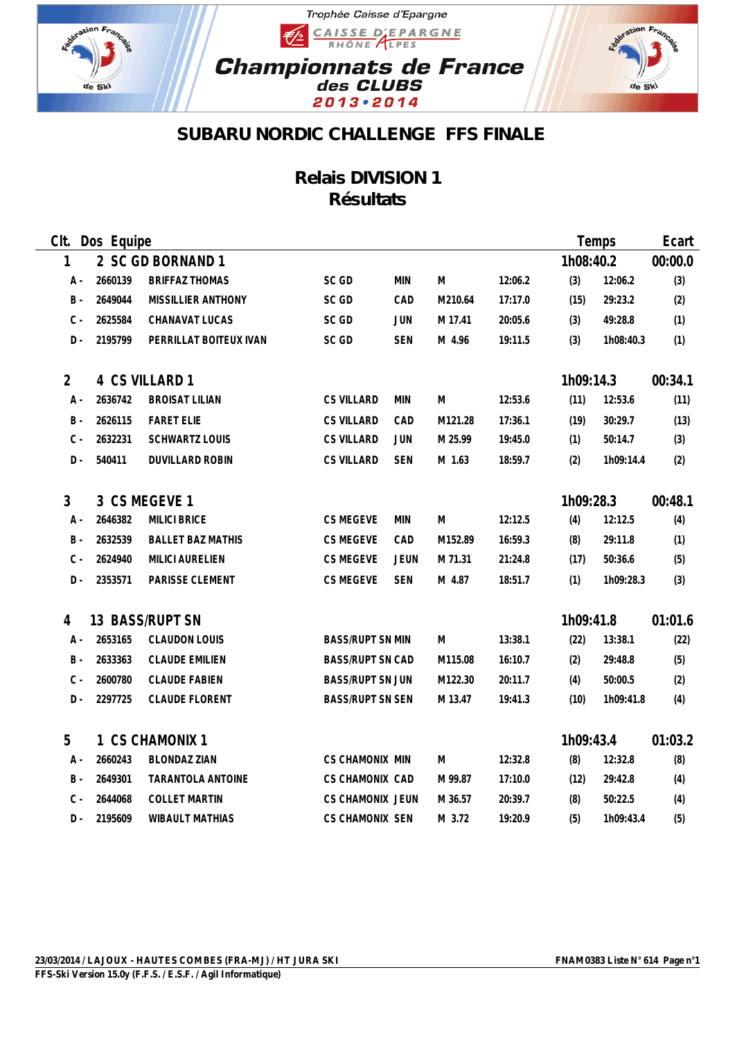

## Trophée Caisse d'Epargne CAISSE D'EPARGNE €∕≥ **Championnats de France**<br>des CLUBS 2013 . 2014



## **SUBARU NORDIC CHALLENGE FFS FINALE**

## **Relais DIVISION 1 Résultats**

| CIt.           | Dos Equipe |                           |                         |             |         |         |           | Temps     | Ecart   |
|----------------|------------|---------------------------|-------------------------|-------------|---------|---------|-----------|-----------|---------|
| 1              |            | 2 SC GD BORNAND 1         |                         |             |         |         | 1h08:40.2 |           | 00:00.0 |
| A -            | 2660139    | <b>BRIFFAZ THOMAS</b>     | SC GD                   | <b>MIN</b>  | M       | 12:06.2 | (3)       | 12:06.2   | (3)     |
| $\,$ B $\,$ -  | 2649044    | <b>MISSILLIER ANTHONY</b> | SC GD                   | CAD         | M210.64 | 17:17.0 | (15)      | 29:23.2   | (2)     |
| $C -$          | 2625584    | CHANAVAT LUCAS            | SC GD                   | JUN         | M 17.41 | 20:05.6 | (3)       | 49:28.8   | (1)     |
| D-             | 2195799    | PERRILLAT BOITEUX IVAN    | SC GD                   | <b>SEN</b>  | M 4.96  | 19:11.5 | (3)       | 1h08:40.3 | (1)     |
| $\overline{2}$ |            | 4 CS VILLARD 1            |                         |             |         |         | 1h09:14.3 |           | 00:34.1 |
| A -            | 2636742    | <b>BROISAT LILIAN</b>     | <b>CS VILLARD</b>       | <b>MIN</b>  | M       | 12:53.6 | (11)      | 12:53.6   | (11)    |
| <b>B</b> -     | 2626115    | <b>FARET ELIE</b>         | <b>CS VILLARD</b>       | CAD         | M121.28 | 17:36.1 | (19)      | 30:29.7   | (13)    |
| $C -$          | 2632231    | SCHWARTZ LOUIS            | <b>CS VILLARD</b>       | JUN         | M 25.99 | 19:45.0 | (1)       | 50:14.7   | (3)     |
| $D -$          | 540411     | DUVILLARD ROBIN           | <b>CS VILLARD</b>       | <b>SEN</b>  | M 1.63  | 18:59.7 | (2)       | 1h09:14.4 | (2)     |
| 3              |            | 3 CS MEGEVE 1             |                         |             |         |         | 1h09:28.3 |           | 00:48.1 |
| A -            | 2646382    | <b>MILICI BRICE</b>       | CS MEGEVE               | <b>MIN</b>  | M       | 12:12.5 | (4)       | 12:12.5   | (4)     |
| $B -$          | 2632539    | <b>BALLET BAZ MATHIS</b>  | CS MEGEVE               | CAD         | M152.89 | 16:59.3 | (8)       | 29:11.8   | (1)     |
| $C -$          | 2624940    | <b>MILICI AURELIEN</b>    | <b>CS MEGEVE</b>        | <b>JEUN</b> | M 71.31 | 21:24.8 | (17)      | 50:36.6   | (5)     |
| D -            | 2353571    | PARISSE CLEMENT           | CS MEGEVE               | <b>SEN</b>  | M 4.87  | 18:51.7 | (1)       | 1h09:28.3 | (3)     |
| 4              |            | 13 BASS/RUPT SN           |                         |             |         |         | 1h09:41.8 |           | 01:01.6 |
| A -            | 2653165    | <b>CLAUDON LOUIS</b>      | <b>BASS/RUPT SN MIN</b> |             | M       | 13:38.1 | (22)      | 13:38.1   | (22)    |
| $B -$          | 2633363    | <b>CLAUDE EMILIEN</b>     | <b>BASS/RUPT SN CAD</b> |             | M115.08 | 16:10.7 | (2)       | 29:48.8   | (5)     |
| $C -$          | 2600780    | <b>CLAUDE FABIEN</b>      | <b>BASS/RUPT SN JUN</b> |             | M122.30 | 20:11.7 | (4)       | 50:00.5   | (2)     |
| D -            | 2297725    | <b>CLAUDE FLORENT</b>     | <b>BASS/RUPT SN SEN</b> |             | M 13.47 | 19:41.3 | (10)      | 1h09:41.8 | (4)     |
| 5              |            | 1 CS CHAMONIX 1           |                         |             |         |         | 1h09:43.4 |           | 01:03.2 |
| A -            | 2660243    | <b>BLONDAZ ZIAN</b>       | CS CHAMONIX MIN         |             | M       | 12:32.8 | (8)       | 12:32.8   | (8)     |
| B -            | 2649301    | <b>TARANTOLA ANTOINE</b>  | <b>CS CHAMONIX CAD</b>  |             | M 99.87 | 17:10.0 | (12)      | 29:42.8   | (4)     |
| $C -$          | 2644068    | <b>COLLET MARTIN</b>      | <b>CS CHAMONIX JEUN</b> |             | M 36.57 | 20:39.7 | (8)       | 50:22.5   | (4)     |
| D -            | 2195609    | <b>WIBAULT MATHIAS</b>    | CS CHAMONIX SEN         |             | M 3.72  | 19:20.9 | (5)       | 1h09:43.4 | (5)     |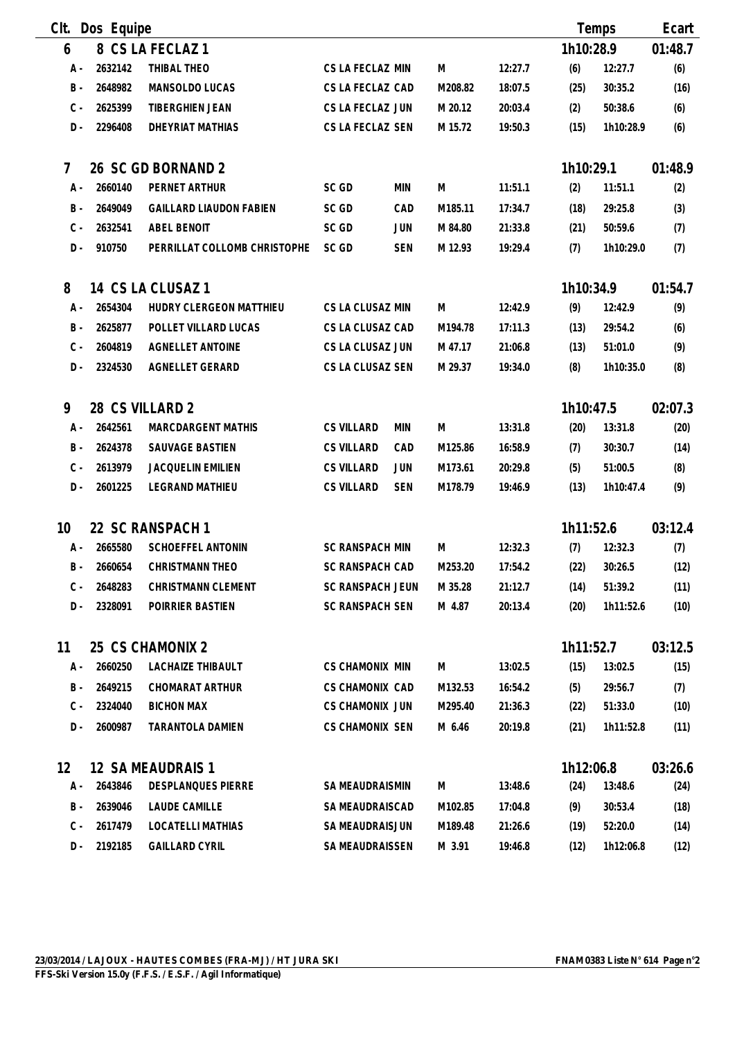| Clt.  | Dos Equipe |                                |                        |            |         |         |           | Temps     | Ecart   |
|-------|------------|--------------------------------|------------------------|------------|---------|---------|-----------|-----------|---------|
| 6     |            | 8 CS LA FECLAZ 1               |                        |            |         |         | 1h10:28.9 |           | 01:48.7 |
| A -   | 2632142    | THIBAL THEO                    | CS LA FECLAZ MIN       |            | M       | 12:27.7 | (6)       | 12:27.7   | (6)     |
| $B -$ | 2648982    | MANSOLDO LUCAS                 | CS LA FECLAZ CAD       |            | M208.82 | 18:07.5 | (25)      | 30:35.2   | (16)    |
| $C -$ | 2625399    | TIBERGHIEN JEAN                | CS LA FECLAZ JUN       |            | M 20.12 | 20:03.4 | (2)       | 50:38.6   | (6)     |
| $D -$ | 2296408    | <b>DHEYRIAT MATHIAS</b>        | CS LA FECLAZ SEN       |            | M 15.72 | 19:50.3 | (15)      | 1h10:28.9 | (6)     |
| 7     |            | 26 SC GD BORNAND 2             |                        |            |         |         | 1h10:29.1 |           | 01:48.9 |
| A -   | 2660140    | PERNET ARTHUR                  | SC GD                  | <b>MIN</b> | M       | 11:51.1 | (2)       | 11:51.1   | (2)     |
| $B -$ | 2649049    | <b>GAILLARD LIAUDON FABIEN</b> | SC GD                  | CAD        | M185.11 | 17:34.7 | (18)      | 29:25.8   | (3)     |
| $C -$ | 2632541    | <b>ABEL BENOIT</b>             | SC GD                  | JUN        | M 84.80 | 21:33.8 | (21)      | 50:59.6   | (7)     |
| $D -$ | 910750     | PERRILLAT COLLOMB CHRISTOPHE   | SC GD                  | <b>SEN</b> | M 12.93 | 19:29.4 | (7)       | 1h10:29.0 | (7)     |
| 8     |            | 14 CS LA CLUSAZ 1              |                        |            |         |         | 1h10:34.9 |           | 01:54.7 |
| A -   | 2654304    | HUDRY CLERGEON MATTHIEU        | CS LA CLUSAZ MIN       |            | M       | 12:42.9 | (9)       | 12:42.9   | (9)     |
| $B -$ | 2625877    | POLLET VILLARD LUCAS           | CS LA CLUSAZ CAD       |            | M194.78 | 17:11.3 | (13)      | 29:54.2   | (6)     |
| $C -$ | 2604819    | AGNELLET ANTOINE               | CS LA CLUSAZ JUN       |            | M 47.17 | 21:06.8 | (13)      | 51:01.0   | (9)     |
| $D -$ | 2324530    | AGNELLET GERARD                | CS LA CLUSAZ SEN       |            | M 29.37 | 19:34.0 | (8)       | 1h10:35.0 | (8)     |
| 9     |            | 28 CS VILLARD 2                |                        |            |         |         | 1h10:47.5 |           | 02:07.3 |
| $A -$ | 2642561    | <b>MARCDARGENT MATHIS</b>      | <b>CS VILLARD</b>      | <b>MIN</b> | M       | 13:31.8 | (20)      | 13:31.8   | (20)    |
| $B -$ | 2624378    | SAUVAGE BASTIEN                | <b>CS VILLARD</b>      | CAD        | M125.86 | 16:58.9 | (7)       | 30:30.7   | (14)    |
| $C -$ | 2613979    | JACQUELIN EMILIEN              | <b>CS VILLARD</b>      | JUN        | M173.61 | 20:29.8 | (5)       | 51:00.5   | (8)     |
| $D -$ | 2601225    | <b>LEGRAND MATHIEU</b>         | <b>CS VILLARD</b>      | <b>SEN</b> | M178.79 | 19:46.9 | (13)      | 1h10:47.4 | (9)     |
| 10    |            | 22 SC RANSPACH 1               |                        |            |         |         | 1h11:52.6 |           | 03:12.4 |
| $A -$ | 2665580    | <b>SCHOEFFEL ANTONIN</b>       | <b>SC RANSPACH MIN</b> |            | M       | 12:32.3 | (7)       | 12:32.3   | (7)     |
| B -   | 2660654    | CHRISTMANN THEO                | <b>SC RANSPACH CAD</b> |            | M253.20 | 17:54.2 | (22)      | 30:26.5   | (12)    |
| C -   | 2648283    | CHRISTMANN CLEMENT             | SC RANSPACH JEUN       |            | M 35.28 | 21:12.7 | (14)      | 51:39.2   | (11)    |
| D -   | 2328091    | POIRRIER BASTIEN               | <b>SC RANSPACH SEN</b> |            | M 4.87  | 20:13.4 | (20)      | 1h11:52.6 | (10)    |
| 11    |            | 25 CS CHAMONIX 2               |                        |            |         |         | 1h11:52.7 |           | 03:12.5 |
| A -   | 2660250    | LACHAIZE THIBAULT              | <b>CS CHAMONIX MIN</b> |            | M       | 13:02.5 | (15)      | 13:02.5   | (15)    |
| B -   | 2649215    | <b>CHOMARAT ARTHUR</b>         | <b>CS CHAMONIX CAD</b> |            | M132.53 | 16:54.2 | (5)       | 29:56.7   | (7)     |
| $C -$ | 2324040    | <b>BICHON MAX</b>              | <b>CS CHAMONIX JUN</b> |            | M295.40 | 21:36.3 | (22)      | 51:33.0   | (10)    |
| $D -$ | 2600987    | TARANTOLA DAMIEN               | <b>CS CHAMONIX SEN</b> |            | M 6.46  | 20:19.8 | (21)      | 1h11:52.8 | (11)    |
| 12    |            | 12 SA MEAUDRAIS 1              |                        |            |         |         | 1h12:06.8 |           | 03:26.6 |
| A -   | 2643846    | DESPLANQUES PIERRE             | SA MEAUDRAISMIN        |            | M       | 13:48.6 | (24)      | 13:48.6   | (24)    |
| B -   | 2639046    | LAUDE CAMILLE                  | SA MEAUDRAISCAD        |            | M102.85 | 17:04.8 | (9)       | 30:53.4   | (18)    |
| $C -$ | 2617479    | LOCATELLI MATHIAS              | SA MEAUDRAISJUN        |            | M189.48 | 21:26.6 | (19)      | 52:20.0   | (14)    |
| D -   | 2192185    | <b>GAILLARD CYRIL</b>          | SA MEAUDRAISSEN        |            | M 3.91  | 19:46.8 | (12)      | 1h12:06.8 | (12)    |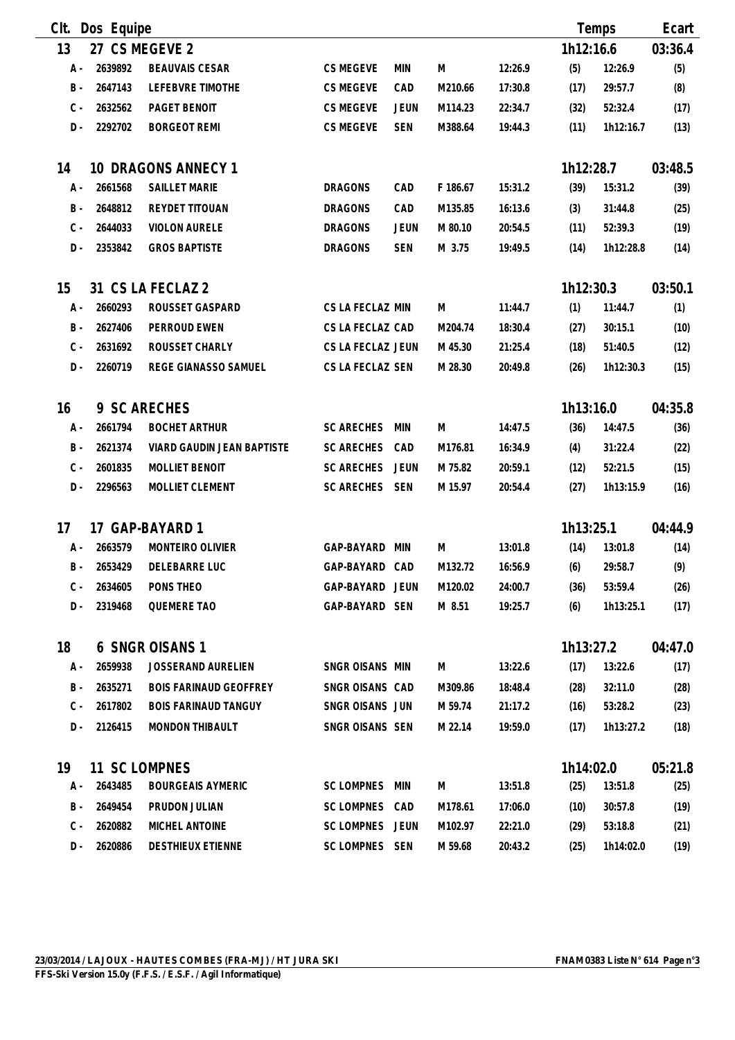| Clt.  | Dos Equipe |                               |                   |             |          |         |           | Temps     | Ecart   |
|-------|------------|-------------------------------|-------------------|-------------|----------|---------|-----------|-----------|---------|
| 13    |            | 27 CS MEGEVE 2                |                   |             |          |         | 1h12:16.6 |           | 03:36.4 |
| A -   | 2639892    | <b>BEAUVAIS CESAR</b>         | CS MEGEVE         | <b>MIN</b>  | M        | 12:26.9 | (5)       | 12:26.9   | (5)     |
| $B -$ | 2647143    | LEFEBVRE TIMOTHE              | CS MEGEVE         | CAD         | M210.66  | 17:30.8 | (17)      | 29:57.7   | (8)     |
| $C -$ | 2632562    | PAGET BENOIT                  | CS MEGEVE         | <b>JEUN</b> | M114.23  | 22:34.7 | (32)      | 52:32.4   | (17)    |
| $D -$ | 2292702    | <b>BORGEOT REMI</b>           | CS MEGEVE         | <b>SEN</b>  | M388.64  | 19:44.3 | (11)      | 1h12:16.7 | (13)    |
|       |            |                               |                   |             |          |         |           |           |         |
| 14    |            | 10 DRAGONS ANNECY 1           |                   |             |          |         | 1h12:28.7 |           | 03:48.5 |
| $A -$ | 2661568    | <b>SAILLET MARIE</b>          | <b>DRAGONS</b>    | CAD         | F 186.67 | 15:31.2 | (39)      | 15:31.2   | (39)    |
| $B -$ | 2648812    | REYDET TITOUAN                | <b>DRAGONS</b>    | CAD         | M135.85  | 16:13.6 | (3)       | 31:44.8   | (25)    |
| $C -$ | 2644033    | <b>VIOLON AURELE</b>          | <b>DRAGONS</b>    | <b>JEUN</b> | M 80.10  | 20:54.5 | (11)      | 52:39.3   | (19)    |
| D-    | 2353842    | <b>GROS BAPTISTE</b>          | <b>DRAGONS</b>    | <b>SEN</b>  | M 3.75   | 19:49.5 | (14)      | 1h12:28.8 | (14)    |
| 15    |            | 31 CS LA FECLAZ 2             |                   |             |          |         | 1h12:30.3 |           | 03:50.1 |
| $A -$ | 2660293    | ROUSSET GASPARD               | CS LA FECLAZ MIN  |             | M        | 11:44.7 | (1)       | 11:44.7   | (1)     |
| $B -$ | 2627406    | PERROUD EWEN                  | CS LA FECLAZ CAD  |             | M204.74  | 18:30.4 | (27)      | 30:15.1   | (10)    |
| $C -$ | 2631692    | ROUSSET CHARLY                | CS LA FECLAZ JEUN |             | M 45.30  | 21:25.4 | (18)      | 51:40.5   | (12)    |
| $D -$ | 2260719    | REGE GIANASSO SAMUEL          | CS LA FECLAZ SEN  |             | M 28.30  | 20:49.8 | (26)      | 1h12:30.3 | (15)    |
| 16    |            | 9 SC ARECHES                  |                   |             |          |         | 1h13:16.0 |           | 04:35.8 |
| A -   | 2661794    | <b>BOCHET ARTHUR</b>          | <b>SC ARECHES</b> | MIN         | M        | 14:47.5 | (36)      | 14:47.5   | (36)    |
| $B -$ | 2621374    | VIARD GAUDIN JEAN BAPTISTE    | <b>SC ARECHES</b> | CAD         | M176.81  | 16:34.9 | (4)       | 31:22.4   | (22)    |
| $C -$ | 2601835    | MOLLIET BENOIT                | <b>SC ARECHES</b> | <b>JEUN</b> | M 75.82  | 20:59.1 | (12)      | 52:21.5   | (15)    |
| $D -$ | 2296563    | MOLLIET CLEMENT               | SC ARECHES SEN    |             | M 15.97  | 20:54.4 | (27)      | 1h13:15.9 | (16)    |
| 17    |            | 17 GAP-BAYARD 1               |                   |             |          |         | 1h13:25.1 |           | 04:44.9 |
| А -   | 2663579    | MONTEIRO OLIVIER              | GAP-BAYARD        | MIN         | M        | 13:01.8 | (14)      | 13:01.8   | (14)    |
| $B -$ | 2653429    | DELEBARRE LUC                 | GAP-BAYARD CAD    |             | M132.72  | 16:56.9 | (6)       | 29:58.7   | (9)     |
| C -   | 2634605    | PONS THEO                     | GAP-BAYARD JEUN   |             | M120.02  | 24:00.7 | (36)      | 53:59.4   | (26)    |
| D -   | 2319468    | <b>QUEMERE TAO</b>            | GAP-BAYARD SEN    |             | M 8.51   | 19:25.7 | (6)       | 1h13:25.1 | (17)    |
| 18    |            | 6 SNGR OISANS 1               |                   |             |          |         | 1h13:27.2 |           | 04:47.0 |
| А -   | 2659938    | JOSSERAND AURELIEN            | SNGR OISANS MIN   |             | M        | 13:22.6 | (17)      | 13:22.6   | (17)    |
| B -   | 2635271    | <b>BOIS FARINAUD GEOFFREY</b> | SNGR OISANS CAD   |             | M309.86  | 18:48.4 | (28)      | 32:11.0   | (28)    |
| $C -$ | 2617802    | <b>BOIS FARINAUD TANGUY</b>   | SNGR OISANS JUN   |             | M 59.74  | 21:17.2 | (16)      | 53:28.2   | (23)    |
| D -   | 2126415    | <b>MONDON THIBAULT</b>        | SNGR OISANS SEN   |             | M 22.14  | 19:59.0 | (17)      | 1h13:27.2 | (18)    |
| 19    |            | 11 SC LOMPNES                 |                   |             |          |         | 1h14:02.0 |           | 05:21.8 |
| A -   | 2643485    | <b>BOURGEAIS AYMERIC</b>      | SC LOMPNES        | MIN         | M        | 13:51.8 | (25)      | 13:51.8   | (25)    |
| B -   | 2649454    | PRUDON JULIAN                 | SC LOMPNES CAD    |             | M178.61  | 17:06.0 | (10)      | 30:57.8   | (19)    |
| $C -$ | 2620882    | MICHEL ANTOINE                | SC LOMPNES JEUN   |             | M102.97  | 22:21.0 | (29)      | 53:18.8   | (21)    |
| D -   | 2620886    | <b>DESTHIEUX ETIENNE</b>      | SC LOMPNES SEN    |             | M 59.68  | 20:43.2 | (25)      | 1h14:02.0 | (19)    |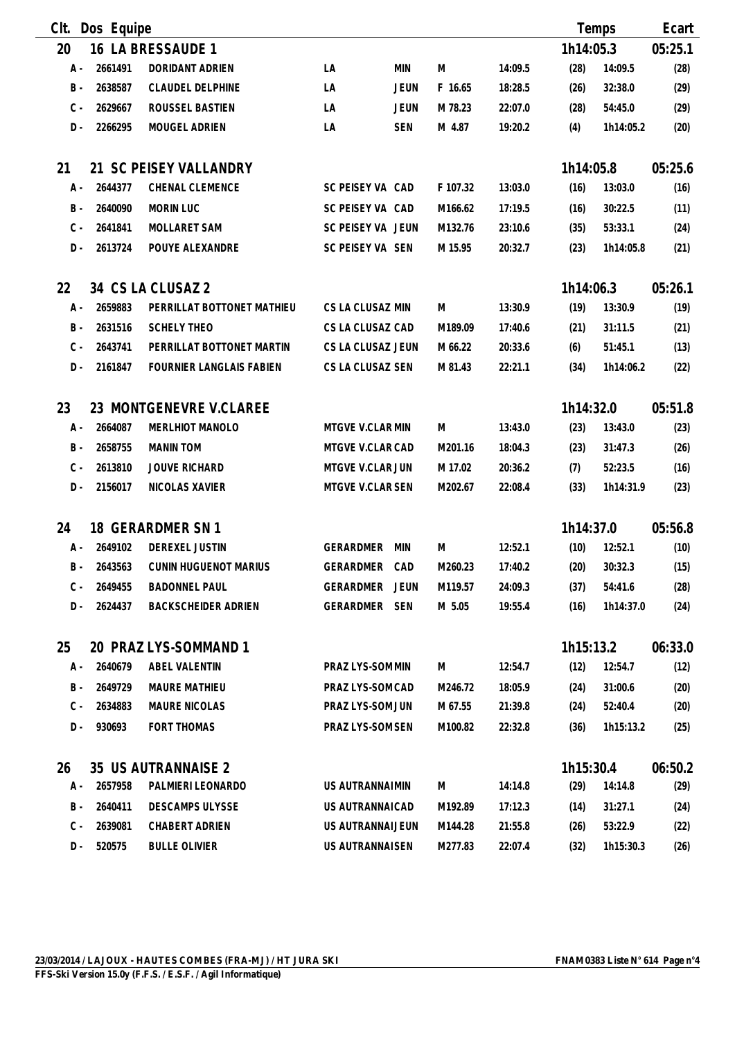| Clt.  | Dos Equipe |                                 |                   |             |          |         |           | Temps     | Ecart   |
|-------|------------|---------------------------------|-------------------|-------------|----------|---------|-----------|-----------|---------|
| 20    |            | 16 LA BRESSAUDE 1               |                   |             |          |         | 1h14:05.3 |           | 05:25.1 |
| $A -$ | 2661491    | DORIDANT ADRIEN                 | LA                | <b>MIN</b>  | M        | 14:09.5 | (28)      | 14:09.5   | (28)    |
| $B -$ | 2638587    | <b>CLAUDEL DELPHINE</b>         | LA                | <b>JEUN</b> | F 16.65  | 18:28.5 | (26)      | 32:38.0   | (29)    |
| $C -$ | 2629667    | ROUSSEL BASTIEN                 | LA                | <b>JEUN</b> | M 78.23  | 22:07.0 | (28)      | 54:45.0   | (29)    |
| $D -$ | 2266295    | MOUGEL ADRIEN                   | LA                | <b>SEN</b>  | M 4.87   | 19:20.2 | (4)       | 1h14:05.2 | (20)    |
| 21    |            | 21 SC PEISEY VALLANDRY          |                   |             |          |         | 1h14:05.8 |           | 05:25.6 |
| A -   | 2644377    | CHENAL CLEMENCE                 | SC PEISEY VA CAD  |             | F 107.32 | 13:03.0 | (16)      | 13:03.0   | (16)    |
| $B -$ | 2640090    | <b>MORIN LUC</b>                | SC PEISEY VA CAD  |             | M166.62  | 17:19.5 | (16)      | 30:22.5   | (11)    |
| $C -$ | 2641841    | <b>MOLLARET SAM</b>             | SC PEISEY VA JEUN |             | M132.76  | 23:10.6 | (35)      | 53:33.1   | (24)    |
| $D -$ | 2613724    | POUYE ALEXANDRE                 | SC PEISEY VA SEN  |             | M 15.95  | 20:32.7 | (23)      | 1h14:05.8 | (21)    |
| 22    |            | 34 CS LA CLUSAZ 2               |                   |             |          |         | 1h14:06.3 |           | 05:26.1 |
| A -   | 2659883    | PERRILLAT BOTTONET MATHIEU      | CS LA CLUSAZ MIN  |             | M        | 13:30.9 | (19)      | 13:30.9   | (19)    |
| $B -$ | 2631516    | <b>SCHELY THEO</b>              | CS LA CLUSAZ CAD  |             | M189.09  | 17:40.6 | (21)      | 31:11.5   | (21)    |
| $C -$ | 2643741    | PERRILLAT BOTTONET MARTIN       | CS LA CLUSAZ JEUN |             | M 66.22  | 20:33.6 | (6)       | 51:45.1   | (13)    |
| $D -$ | 2161847    | <b>FOURNIER LANGLAIS FABIEN</b> | CS LA CLUSAZ SEN  |             | M 81.43  | 22:21.1 | (34)      | 1h14:06.2 | (22)    |
| 23    |            | 23 MONTGENEVRE V.CLAREE         |                   |             |          |         | 1h14:32.0 |           | 05:51.8 |
| A -   | 2664087    | MERLHIOT MANOLO                 | MTGVE V.CLAR MIN  |             | M        | 13:43.0 | (23)      | 13:43.0   | (23)    |
| $B -$ | 2658755    | <b>MANIN TOM</b>                | MTGVE V.CLAR CAD  |             | M201.16  | 18:04.3 | (23)      | 31:47.3   | (26)    |
| $C -$ | 2613810    | <b>JOUVE RICHARD</b>            | MTGVE V.CLAR JUN  |             | M 17.02  | 20:36.2 | (7)       | 52:23.5   | (16)    |
| D -   | 2156017    | NICOLAS XAVIER                  | MTGVE V.CLAR SEN  |             | M202.67  | 22:08.4 | (33)      | 1h14:31.9 | (23)    |
| 24    |            | 18 GERARDMER SN 1               |                   |             |          |         | 1h14:37.0 |           | 05:56.8 |
| A -   | 2649102    | DEREXEL JUSTIN                  | GERARDMER         | MIN         | M        | 12:52.1 | (10)      | 12:52.1   | (10)    |
| B -   | 2643563    | <b>CUNIN HUGUENOT MARIUS</b>    | GERARDMER         | CAD         | M260.23  | 17:40.2 | (20)      | 30:32.3   | (15)    |
| C -   | 2649455    | <b>BADONNEL PAUL</b>            | GERARDMER JEUN    |             | M119.57  | 24:09.3 | (37)      | 54:41.6   | (28)    |
| D -   | 2624437    | BACKSCHEIDER ADRIEN             | GERARDMER SEN     |             | M 5.05   | 19:55.4 | (16)      | 1h14:37.0 | (24)    |
| 25    |            | 20 PRAZ LYS-SOMMAND 1           |                   |             |          |         | 1h15:13.2 |           | 06:33.0 |
| A -   | 2640679    | <b>ABEL VALENTIN</b>            | PRAZ LYS-SOM MIN  |             | M        | 12:54.7 | (12)      | 12:54.7   | (12)    |
| B -   | 2649729    | <b>MAURE MATHIEU</b>            | PRAZ LYS-SOM CAD  |             | M246.72  | 18:05.9 | (24)      | 31:00.6   | (20)    |
| $C -$ | 2634883    | MAURE NICOLAS                   | PRAZ LYS-SOM JUN  |             | M 67.55  | 21:39.8 | (24)      | 52:40.4   | (20)    |
| $D -$ | 930693     | <b>FORT THOMAS</b>              | PRAZ LYS-SOM SEN  |             | M100.82  | 22:32.8 | (36)      | 1h15:13.2 | (25)    |
| 26    |            | 35 US AUTRANNAISE 2             |                   |             |          |         | 1h15:30.4 |           | 06:50.2 |
| A -   | 2657958    | PALMIERI LEONARDO               | US AUTRANNAIMIN   |             | M        | 14:14.8 | (29)      | 14:14.8   | (29)    |
| B -   | 2640411    | <b>DESCAMPS ULYSSE</b>          | US AUTRANNAICAD   |             | M192.89  | 17:12.3 | (14)      | 31:27.1   | (24)    |
| $C -$ | 2639081    | CHABERT ADRIEN                  | US AUTRANNAIJEUN  |             | M144.28  | 21:55.8 | (26)      | 53:22.9   | (22)    |
| D -   | 520575     | <b>BULLE OLIVIER</b>            | US AUTRANNAISEN   |             | M277.83  | 22:07.4 | (32)      | 1h15:30.3 | (26)    |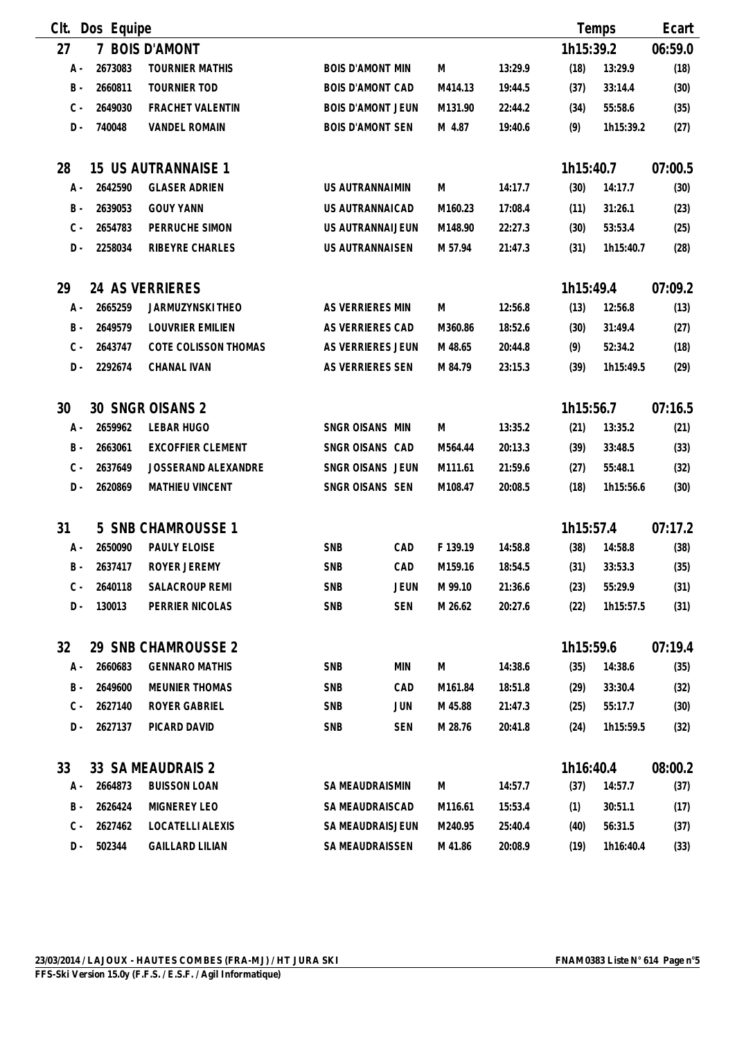| Clt.  | Dos Equipe  |                          |                          |            |          |         |           | Temps     | Ecart   |
|-------|-------------|--------------------------|--------------------------|------------|----------|---------|-----------|-----------|---------|
| 27    | $7^{\circ}$ | <b>BOIS D'AMONT</b>      |                          |            |          |         | 1h15:39.2 |           | 06:59.0 |
| A -   | 2673083     | <b>TOURNIER MATHIS</b>   | <b>BOIS D'AMONT MIN</b>  |            | M        | 13:29.9 | (18)      | 13:29.9   | (18)    |
| $B -$ | 2660811     | <b>TOURNIER TOD</b>      | <b>BOIS D'AMONT CAD</b>  |            | M414.13  | 19:44.5 | (37)      | 33:14.4   | (30)    |
| $C -$ | 2649030     | <b>FRACHET VALENTIN</b>  | <b>BOIS D'AMONT JEUN</b> |            | M131.90  | 22:44.2 | (34)      | 55:58.6   | (35)    |
| $D -$ | 740048      | <b>VANDEL ROMAIN</b>     | <b>BOIS D'AMONT SEN</b>  |            | M 4.87   | 19:40.6 | (9)       | 1h15:39.2 | (27)    |
| 28    |             | 15 US AUTRANNAISE 1      |                          |            |          |         | 1h15:40.7 |           | 07:00.5 |
| A -   | 2642590     | <b>GLASER ADRIEN</b>     | US AUTRANNAIMIN          |            | M        | 14:17.7 | (30)      | 14:17.7   | (30)    |
| $B -$ | 2639053     | <b>GOUY YANN</b>         | US AUTRANNAICAD          |            | M160.23  | 17:08.4 | (11)      | 31:26.1   | (23)    |
| $C -$ | 2654783     | PERRUCHE SIMON           | US AUTRANNAIJEUN         |            | M148.90  | 22:27.3 | (30)      | 53:53.4   | (25)    |
| $D -$ | 2258034     | RIBEYRE CHARLES          | US AUTRANNAISEN          |            | M 57.94  | 21:47.3 | (31)      | 1h15:40.7 | (28)    |
| 29    |             | 24 AS VERRIERES          |                          |            |          |         | 1h15:49.4 |           | 07:09.2 |
| A -   | 2665259     | JARMUZYNSKI THEO         | AS VERRIERES MIN         |            | M        | 12:56.8 | (13)      | 12:56.8   | (13)    |
| $B -$ | 2649579     | LOUVRIER EMILIEN         | AS VERRIERES CAD         |            | M360.86  | 18:52.6 | (30)      | 31:49.4   | (27)    |
| $C -$ | 2643747     | COTE COLISSON THOMAS     | AS VERRIERES JEUN        |            | M 48.65  | 20:44.8 | (9)       | 52:34.2   | (18)    |
| $D -$ | 2292674     | <b>CHANAL IVAN</b>       | AS VERRIERES SEN         |            | M 84.79  | 23:15.3 | (39)      | 1h15:49.5 | (29)    |
| 30    |             | 30 SNGR OISANS 2         |                          |            |          |         | 1h15:56.7 |           | 07:16.5 |
| A -   | 2659962     | <b>LEBAR HUGO</b>        | SNGR OISANS MIN          |            | M        | 13:35.2 | (21)      | 13:35.2   | (21)    |
| $B -$ | 2663061     | <b>EXCOFFIER CLEMENT</b> | SNGR OISANS CAD          |            | M564.44  | 20:13.3 | (39)      | 33:48.5   | (33)    |
| $C -$ | 2637649     | JOSSERAND ALEXANDRE      | SNGR OISANS JEUN         |            | M111.61  | 21:59.6 | (27)      | 55:48.1   | (32)    |
| $D -$ | 2620869     | MATHIEU VINCENT          | SNGR OISANS SEN          |            | M108.47  | 20:08.5 | (18)      | 1h15:56.6 | (30)    |
| 31    |             | 5 SNB CHAMROUSSE 1       |                          |            |          |         | 1h15:57.4 |           | 07:17.2 |
| A -   | 2650090     | PAULY ELOISE             | <b>SNB</b>               | CAD        | F 139.19 | 14:58.8 | (38)      | 14:58.8   | (38)    |
| $B -$ | 2637417     | ROYER JEREMY             | <b>SNB</b>               | CAD        | M159.16  | 18:54.5 | (31)      | 33:53.3   | (35)    |
| C -   | 2640118     | SALACROUP REMI           | <b>SNB</b>               | JEUN       | M 99.10  | 21:36.6 | (23)      | 55:29.9   | (31)    |
| D -   | 130013      | PERRIER NICOLAS          | SNB                      | <b>SEN</b> | M 26.62  | 20:27.6 | (22)      | 1h15:57.5 | (31)    |
| 32    |             | 29 SNB CHAMROUSSE 2      |                          |            |          |         | 1h15:59.6 |           | 07:19.4 |
| А -   | 2660683     | <b>GENNARO MATHIS</b>    | <b>SNB</b>               | MIN        | M        | 14:38.6 | (35)      | 14:38.6   | (35)    |
| B -   | 2649600     | <b>MEUNIER THOMAS</b>    | <b>SNB</b>               | CAD        | M161.84  | 18:51.8 | (29)      | 33:30.4   | (32)    |
| $C -$ | 2627140     | ROYER GABRIEL            | <b>SNB</b>               | JUN        | M 45.88  | 21:47.3 | (25)      | 55:17.7   | (30)    |
| D-    | 2627137     | PICARD DAVID             | <b>SNB</b>               | <b>SEN</b> | M 28.76  | 20:41.8 | (24)      | 1h15:59.5 | (32)    |
| 33    |             | 33 SA MEAUDRAIS 2        |                          |            |          |         | 1h16:40.4 |           | 08:00.2 |
| A -   | 2664873     | <b>BUISSON LOAN</b>      | SA MEAUDRAISMIN          |            | M        | 14:57.7 | (37)      | 14:57.7   | (37)    |
| B -   | 2626424     | MIGNEREY LEO             | SA MEAUDRAISCAD          |            | M116.61  | 15:53.4 | (1)       | 30:51.1   | (17)    |
| $C -$ | 2627462     | LOCATELLI ALEXIS         | SA MEAUDRAISJEUN         |            | M240.95  | 25:40.4 | (40)      | 56:31.5   | (37)    |
| D -   | 502344      | <b>GAILLARD LILIAN</b>   | SA MEAUDRAISSEN          |            | M 41.86  | 20:08.9 | (19)      | 1h16:40.4 | (33)    |

 $\overline{\phantom{0}}$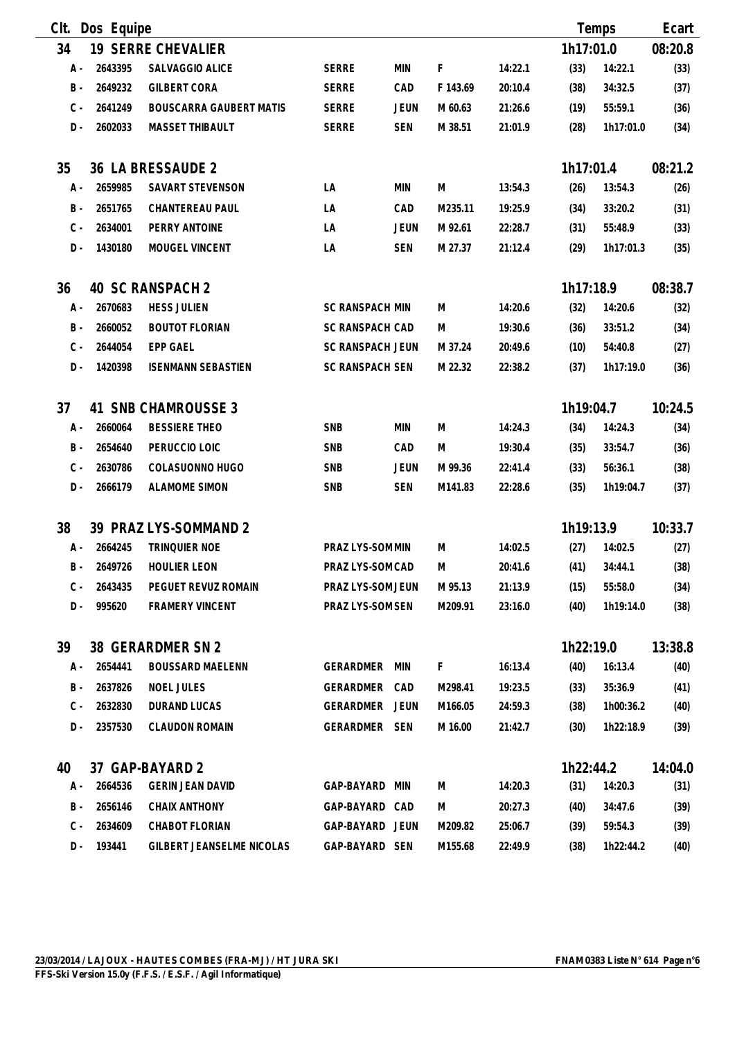| Clt.  | Dos Equipe |                           |                         |             |          |         |           | Temps     | Ecart   |
|-------|------------|---------------------------|-------------------------|-------------|----------|---------|-----------|-----------|---------|
| 34    |            | <b>19 SERRE CHEVALIER</b> |                         |             |          |         | 1h17:01.0 |           | 08:20.8 |
| A -   | 2643395    | SALVAGGIO ALICE           | <b>SERRE</b>            | <b>MIN</b>  | F        | 14:22.1 | (33)      | 14:22.1   | (33)    |
| $B -$ | 2649232    | <b>GILBERT CORA</b>       | <b>SERRE</b>            | CAD         | F 143.69 | 20:10.4 | (38)      | 34:32.5   | (37)    |
| $C -$ | 2641249    | BOUSCARRA GAUBERT MATIS   | <b>SERRE</b>            | <b>JEUN</b> | M 60.63  | 21:26.6 | (19)      | 55:59.1   | (36)    |
| $D -$ | 2602033    | <b>MASSET THIBAULT</b>    | <b>SERRE</b>            | <b>SEN</b>  | M 38.51  | 21:01.9 | (28)      | 1h17:01.0 | (34)    |
|       |            |                           |                         |             |          |         |           |           |         |
| 35    |            | 36 LA BRESSAUDE 2         |                         |             |          |         | 1h17:01.4 |           | 08:21.2 |
| A -   | 2659985    | SAVART STEVENSON          | LA                      | MIN         | M        | 13:54.3 | (26)      | 13:54.3   | (26)    |
| $B -$ | 2651765    | CHANTEREAU PAUL           | LA                      | CAD         | M235.11  | 19:25.9 | (34)      | 33:20.2   | (31)    |
| $C -$ | 2634001    | PERRY ANTOINE             | LA                      | <b>JEUN</b> | M 92.61  | 22:28.7 | (31)      | 55:48.9   | (33)    |
| D-    | 1430180    | MOUGEL VINCENT            | LA                      | <b>SEN</b>  | M 27.37  | 21:12.4 | (29)      | 1h17:01.3 | (35)    |
| 36    |            | 40 SC RANSPACH 2          |                         |             |          |         | 1h17:18.9 |           | 08:38.7 |
| А -   | 2670683    | <b>HESS JULIEN</b>        | <b>SC RANSPACH MIN</b>  |             | M        | 14:20.6 | (32)      | 14:20.6   | (32)    |
| $B -$ | 2660052    | <b>BOUTOT FLORIAN</b>     | <b>SC RANSPACH CAD</b>  |             | M        | 19:30.6 | (36)      | 33:51.2   | (34)    |
| $C -$ | 2644054    | <b>EPP GAEL</b>           | <b>SC RANSPACH JEUN</b> |             | M 37.24  | 20:49.6 | (10)      | 54:40.8   | (27)    |
| D-    | 1420398    | <b>ISENMANN SEBASTIEN</b> | <b>SC RANSPACH SEN</b>  |             | M 22.32  | 22:38.2 | (37)      | 1h17:19.0 | (36)    |
|       |            |                           |                         |             |          |         |           |           |         |
| 37    |            | 41 SNB CHAMROUSSE 3       |                         |             |          |         | 1h19:04.7 |           | 10:24.5 |
| A -   | 2660064    | <b>BESSIERE THEO</b>      | <b>SNB</b>              | <b>MIN</b>  | M        | 14:24.3 | (34)      | 14:24.3   | (34)    |
| $B -$ | 2654640    | PERUCCIO LOIC             | <b>SNB</b>              | CAD         | M        | 19:30.4 | (35)      | 33:54.7   | (36)    |
| $C -$ | 2630786    | COLASUONNO HUGO           | <b>SNB</b>              | <b>JEUN</b> | M 99.36  | 22:41.4 | (33)      | 56:36.1   | (38)    |
| $D -$ | 2666179    | <b>ALAMOME SIMON</b>      | SNB                     | <b>SEN</b>  | M141.83  | 22:28.6 | (35)      | 1h19:04.7 | (37)    |
| 38    |            | 39 PRAZ LYS-SOMMAND 2     |                         |             |          |         | 1h19:13.9 |           | 10:33.7 |
| A -   | 2664245    | TRINQUIER NOE             | PRAZ LYS-SOM MIN        |             | M        | 14:02.5 | (27)      | 14:02.5   | (27)    |
| B -   | 2649726    | <b>HOULIER LEON</b>       | PRAZ LYS-SOM CAD        |             | M        | 20:41.6 | (41)      | 34:44.1   | (38)    |
| C -   | 2643435    | PEGUET REVUZ ROMAIN       | PRAZ LYS-SOM JEUN       |             | M 95.13  | 21:13.9 | (15)      | 55:58.0   | (34)    |
| D -   | 995620     | <b>FRAMERY VINCENT</b>    | PRAZ LYS-SOM SEN        |             | M209.91  | 23:16.0 | (40)      | 1h19:14.0 | (38)    |
| 39    |            | 38 GERARDMER SN 2         |                         |             |          |         | 1h22:19.0 |           | 13:38.8 |
| A -   | 2654441    | <b>BOUSSARD MAELENN</b>   | GERARDMER MIN           |             | F.       | 16:13.4 | (40)      | 16:13.4   | (40)    |
| B -   | 2637826    | <b>NOEL JULES</b>         | GERARDMER CAD           |             | M298.41  | 19:23.5 | (33)      | 35:36.9   | (41)    |
| $C -$ | 2632830    | DURAND LUCAS              | GERARDMER JEUN          |             | M166.05  | 24:59.3 | (38)      | 1h00:36.2 | (40)    |
| $D -$ | 2357530    | <b>CLAUDON ROMAIN</b>     | GERARDMER SEN           |             | M 16.00  | 21:42.7 | (30)      | 1h22:18.9 | (39)    |
|       |            |                           |                         |             |          |         |           |           |         |
| 40    |            | 37 GAP-BAYARD 2           |                         |             |          |         | 1h22:44.2 |           | 14:04.0 |
| A -   | 2664536    | <b>GERIN JEAN DAVID</b>   | GAP-BAYARD              | MIN         | M        | 14:20.3 | (31)      | 14:20.3   | (31)    |
| B -   | 2656146    | CHAIX ANTHONY             | GAP-BAYARD CAD          |             | M        | 20:27.3 | (40)      | 34:47.6   | (39)    |
| $C -$ | 2634609    | CHABOT FLORIAN            | GAP-BAYARD JEUN         |             | M209.82  | 25:06.7 | (39)      | 59:54.3   | (39)    |
| D -   | 193441     | GILBERT JEANSELME NICOLAS | GAP-BAYARD SEN          |             | M155.68  | 22:49.9 | (38)      | 1h22:44.2 | (40)    |